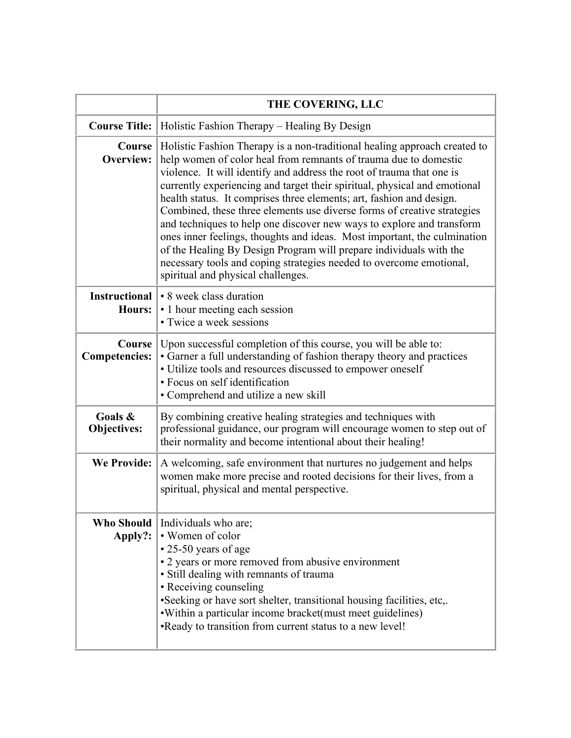|                                       | THE COVERING, LLC                                                                                                                                                                                                                                                                                                                                                                                                                                                                                                                                                                                                                                                                                                                                                                              |
|---------------------------------------|------------------------------------------------------------------------------------------------------------------------------------------------------------------------------------------------------------------------------------------------------------------------------------------------------------------------------------------------------------------------------------------------------------------------------------------------------------------------------------------------------------------------------------------------------------------------------------------------------------------------------------------------------------------------------------------------------------------------------------------------------------------------------------------------|
| <b>Course Title:</b>                  | Holistic Fashion Therapy – Healing By Design                                                                                                                                                                                                                                                                                                                                                                                                                                                                                                                                                                                                                                                                                                                                                   |
| Course<br>Overview:                   | Holistic Fashion Therapy is a non-traditional healing approach created to<br>help women of color heal from remnants of trauma due to domestic<br>violence. It will identify and address the root of trauma that one is<br>currently experiencing and target their spiritual, physical and emotional<br>health status. It comprises three elements; art, fashion and design.<br>Combined, these three elements use diverse forms of creative strategies<br>and techniques to help one discover new ways to explore and transform<br>ones inner feelings, thoughts and ideas. Most important, the culmination<br>of the Healing By Design Program will prepare individuals with the<br>necessary tools and coping strategies needed to overcome emotional,<br>spiritual and physical challenges. |
| <b>Instructional</b><br><b>Hours:</b> | • 8 week class duration<br>• 1 hour meeting each session<br>• Twice a week sessions                                                                                                                                                                                                                                                                                                                                                                                                                                                                                                                                                                                                                                                                                                            |
| Course<br><b>Competencies:</b>        | Upon successful completion of this course, you will be able to:<br>• Garner a full understanding of fashion therapy theory and practices<br>• Utilize tools and resources discussed to empower oneself<br>· Focus on self identification<br>• Comprehend and utilize a new skill                                                                                                                                                                                                                                                                                                                                                                                                                                                                                                               |
| Goals &<br><b>Objectives:</b>         | By combining creative healing strategies and techniques with<br>professional guidance, our program will encourage women to step out of<br>their normality and become intentional about their healing!                                                                                                                                                                                                                                                                                                                                                                                                                                                                                                                                                                                          |
| <b>We Provide:</b>                    | A welcoming, safe environment that nurtures no judgement and helps<br>women make more precise and rooted decisions for their lives, from a<br>spiritual, physical and mental perspective.                                                                                                                                                                                                                                                                                                                                                                                                                                                                                                                                                                                                      |
| <b>Who Should</b><br>Apply?:          | Individuals who are;<br>• Women of color<br>$\cdot$ 25-50 years of age<br>• 2 years or more removed from abusive environment<br>· Still dealing with remnants of trauma<br>• Receiving counseling<br>•Seeking or have sort shelter, transitional housing facilities, etc,.<br>. Within a particular income bracket (must meet guidelines)<br>•Ready to transition from current status to a new level!                                                                                                                                                                                                                                                                                                                                                                                          |